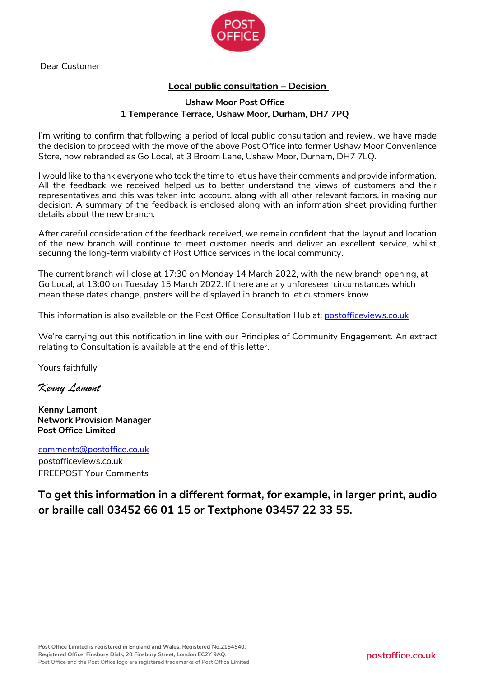

Dear Customer

# **Local public consultation – Decision**

### **Ushaw Moor Post Office 1 Temperance Terrace, Ushaw Moor, Durham, DH7 7PQ**

I'm writing to confirm that following a period of local public consultation and review, we have made the decision to proceed with the move of the above Post Office into former Ushaw Moor Convenience Store, now rebranded as Go Local, at 3 Broom Lane, Ushaw Moor, Durham, DH7 7LQ.

I would like to thank everyone who took the time to let us have their comments and provide information. All the feedback we received helped us to better understand the views of customers and their representatives and this was taken into account, along with all other relevant factors, in making our decision. A summary of the feedback is enclosed along with an information sheet providing further details about the new branch.

After careful consideration of the feedback received, we remain confident that the layout and location of the new branch will continue to meet customer needs and deliver an excellent service, whilst securing the long-term viability of Post Office services in the local community.

The current branch will close at 17:30 on Monday 14 March 2022, with the new branch opening, at Go Local, at 13:00 on Tuesday 15 March 2022. If there are any unforeseen circumstances which mean these dates change, posters will be displayed in branch to let customers know.

This information is also available on the Post Office Consultation Hub at: [postofficeviews.co.uk](http://www.postofficeviews.co.uk/)

We're carrying out this notification in line with our Principles of Community Engagement. An extract relating to Consultation is available at the end of this letter.

Yours faithfully

*Kenny Lamont*

**Kenny Lamont Network Provision Manager Post Office Limited**

[comments@postoffice.co.uk](mailto:comments@postoffice.co.uk)

postofficeviews.co.uk FREEPOST Your Comments

**To get this information in a different format, for example, in larger print, audio or braille call 03452 66 01 15 or Textphone 03457 22 33 55.**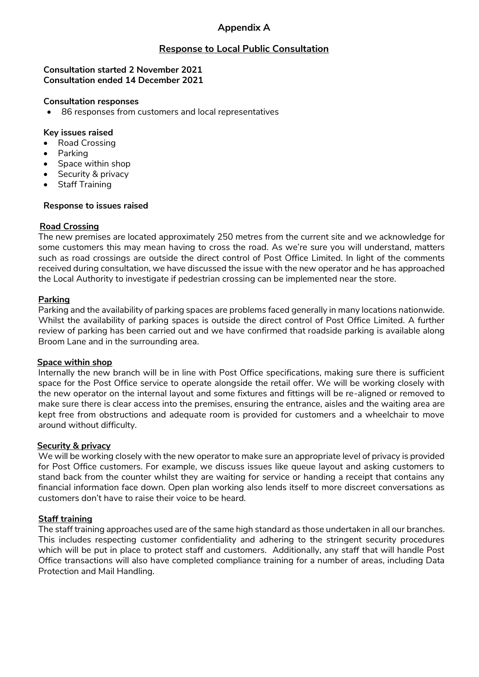# **Appendix A**

# **Response to Local Public Consultation**

### **Consultation started 2 November 2021 Consultation ended 14 December 2021**

### **Consultation responses**

• 86 responses from customers and local representatives

### **Key issues raised**

- Road Crossing
- Parking
- Space within shop
- Security & privacy
- Staff Training

### **Response to issues raised**

### **Road Crossing**

The new premises are located approximately 250 metres from the current site and we acknowledge for some customers this may mean having to cross the road. As we're sure you will understand, matters such as road crossings are outside the direct control of Post Office Limited. In light of the comments received during consultation, we have discussed the issue with the new operator and he has approached the Local Authority to investigate if pedestrian crossing can be implemented near the store.

### **Parking**

Parking and the availability of parking spaces are problems faced generally in many locations nationwide. Whilst the availability of parking spaces is outside the direct control of Post Office Limited. A further review of parking has been carried out and we have confirmed that roadside parking is available along Broom Lane and in the surrounding area.

#### **Space within shop**

Internally the new branch will be in line with Post Office specifications, making sure there is sufficient space for the Post Office service to operate alongside the retail offer. We will be working closely with the new operator on the internal layout and some fixtures and fittings will be re-aligned or removed to make sure there is clear access into the premises, ensuring the entrance, aisles and the waiting area are kept free from obstructions and adequate room is provided for customers and a wheelchair to move around without difficulty.

#### **Security & privacy**

We will be working closely with the new operator to make sure an appropriate level of privacy is provided for Post Office customers. For example, we discuss issues like queue layout and asking customers to stand back from the counter whilst they are waiting for service or handing a receipt that contains any financial information face down. Open plan working also lends itself to more discreet conversations as customers don't have to raise their voice to be heard.

### **Staff training**

The staff training approaches used are of the same high standard as those undertaken in all our branches. This includes respecting customer confidentiality and adhering to the stringent security procedures which will be put in place to protect staff and customers. Additionally, any staff that will handle Post Office transactions will also have completed compliance training for a number of areas, including Data Protection and Mail Handling.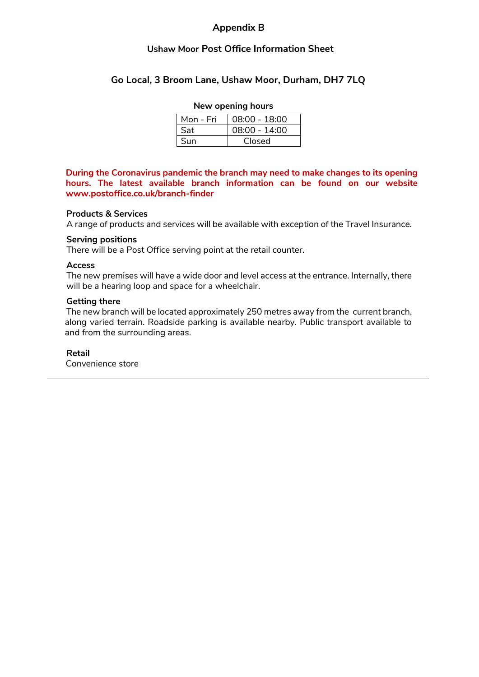### **Appendix B**

### **Ushaw Moor Post Office Information Sheet**

## **Go Local, 3 Broom Lane, Ushaw Moor, Durham, DH7 7LQ**

### **New opening hours**

| Mon - Fri | 08:00 - 18:00 |
|-----------|---------------|
| Sat       | 08:00 - 14:00 |
| Sun       | Closed        |

**During the Coronavirus pandemic the branch may need to make changes to its opening hours. The latest available branch information can be found on our website www.postoffice.co.uk/branch-finder**

#### **Products & Services**

A range of products and services will be available with exception of the Travel Insurance.

#### **Serving positions**

There will be a Post Office serving point at the retail counter.

### **Access**

The new premises will have a wide door and level access at the entrance. Internally, there will be a hearing loop and space for a wheelchair.

#### **Getting there**

The new branch will be located approximately 250 metres away from the current branch, along varied terrain. Roadside parking is available nearby. Public transport available to and from the surrounding areas.

#### **Retail**

Convenience store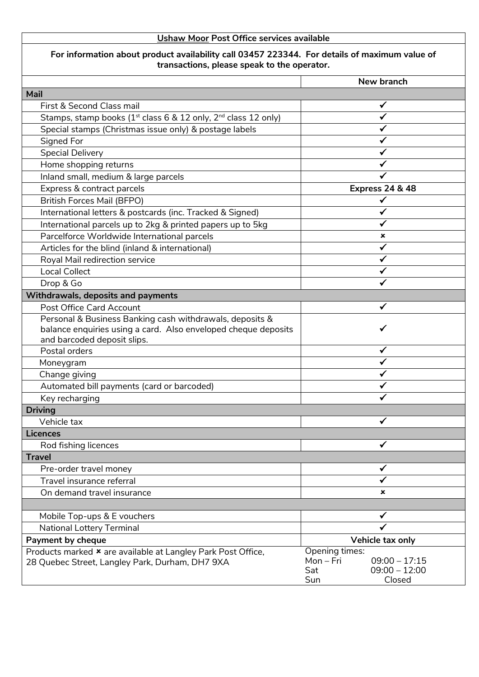# **Ushaw Moor Post Office services available**

# **For information about product availability call 03457 223344. For details of maximum value of transactions, please speak to the operator.**

| <b>Mail</b><br>First & Second Class mail<br>Stamps, stamp books ( $1st$ class 6 & 12 only, $2nd$ class 12 only)<br>Special stamps (Christmas issue only) & postage labels<br>Signed For<br><b>Special Delivery</b><br>Home shopping returns<br>Inland small, medium & large parcels<br><b>Express 24 &amp; 48</b><br>Express & contract parcels<br><b>British Forces Mail (BFPO)</b><br>✓<br>International letters & postcards (inc. Tracked & Signed)<br>✔<br>International parcels up to 2kg & printed papers up to 5kg<br>✓<br>Parcelforce Worldwide International parcels<br>×<br>Articles for the blind (inland & international)<br>Royal Mail redirection service<br><b>Local Collect</b><br>Drop & Go<br>Withdrawals, deposits and payments<br>Post Office Card Account<br>Personal & Business Banking cash withdrawals, deposits &<br>balance enquiries using a card. Also enveloped cheque deposits<br>and barcoded deposit slips.<br>Postal orders<br>✓<br>Moneygram<br>Change giving<br>Automated bill payments (card or barcoded)<br>Key recharging<br><b>Driving</b><br>Vehicle tax<br>✔<br><b>Licences</b><br>Rod fishing licences<br><b>Travel</b><br>Pre-order travel money<br>✔<br>Travel insurance referral<br>On demand travel insurance<br>×<br>Mobile Top-ups & E vouchers<br>✔<br><b>National Lottery Terminal</b><br>Vehicle tax only<br>Payment by cheque<br>Opening times:<br>Products marked * are available at Langley Park Post Office,<br>Mon-Fri<br>$09:00 - 17:15$<br>28 Quebec Street, Langley Park, Durham, DH7 9XA<br>$09:00 - 12:00$<br>Sat | New branch    |
|--------------------------------------------------------------------------------------------------------------------------------------------------------------------------------------------------------------------------------------------------------------------------------------------------------------------------------------------------------------------------------------------------------------------------------------------------------------------------------------------------------------------------------------------------------------------------------------------------------------------------------------------------------------------------------------------------------------------------------------------------------------------------------------------------------------------------------------------------------------------------------------------------------------------------------------------------------------------------------------------------------------------------------------------------------------------------------------------------------------------------------------------------------------------------------------------------------------------------------------------------------------------------------------------------------------------------------------------------------------------------------------------------------------------------------------------------------------------------------------------------------------------------------------------------------------------------------|---------------|
|                                                                                                                                                                                                                                                                                                                                                                                                                                                                                                                                                                                                                                                                                                                                                                                                                                                                                                                                                                                                                                                                                                                                                                                                                                                                                                                                                                                                                                                                                                                                                                                |               |
|                                                                                                                                                                                                                                                                                                                                                                                                                                                                                                                                                                                                                                                                                                                                                                                                                                                                                                                                                                                                                                                                                                                                                                                                                                                                                                                                                                                                                                                                                                                                                                                |               |
|                                                                                                                                                                                                                                                                                                                                                                                                                                                                                                                                                                                                                                                                                                                                                                                                                                                                                                                                                                                                                                                                                                                                                                                                                                                                                                                                                                                                                                                                                                                                                                                |               |
|                                                                                                                                                                                                                                                                                                                                                                                                                                                                                                                                                                                                                                                                                                                                                                                                                                                                                                                                                                                                                                                                                                                                                                                                                                                                                                                                                                                                                                                                                                                                                                                |               |
|                                                                                                                                                                                                                                                                                                                                                                                                                                                                                                                                                                                                                                                                                                                                                                                                                                                                                                                                                                                                                                                                                                                                                                                                                                                                                                                                                                                                                                                                                                                                                                                |               |
|                                                                                                                                                                                                                                                                                                                                                                                                                                                                                                                                                                                                                                                                                                                                                                                                                                                                                                                                                                                                                                                                                                                                                                                                                                                                                                                                                                                                                                                                                                                                                                                |               |
|                                                                                                                                                                                                                                                                                                                                                                                                                                                                                                                                                                                                                                                                                                                                                                                                                                                                                                                                                                                                                                                                                                                                                                                                                                                                                                                                                                                                                                                                                                                                                                                |               |
|                                                                                                                                                                                                                                                                                                                                                                                                                                                                                                                                                                                                                                                                                                                                                                                                                                                                                                                                                                                                                                                                                                                                                                                                                                                                                                                                                                                                                                                                                                                                                                                |               |
|                                                                                                                                                                                                                                                                                                                                                                                                                                                                                                                                                                                                                                                                                                                                                                                                                                                                                                                                                                                                                                                                                                                                                                                                                                                                                                                                                                                                                                                                                                                                                                                |               |
|                                                                                                                                                                                                                                                                                                                                                                                                                                                                                                                                                                                                                                                                                                                                                                                                                                                                                                                                                                                                                                                                                                                                                                                                                                                                                                                                                                                                                                                                                                                                                                                |               |
|                                                                                                                                                                                                                                                                                                                                                                                                                                                                                                                                                                                                                                                                                                                                                                                                                                                                                                                                                                                                                                                                                                                                                                                                                                                                                                                                                                                                                                                                                                                                                                                |               |
|                                                                                                                                                                                                                                                                                                                                                                                                                                                                                                                                                                                                                                                                                                                                                                                                                                                                                                                                                                                                                                                                                                                                                                                                                                                                                                                                                                                                                                                                                                                                                                                |               |
|                                                                                                                                                                                                                                                                                                                                                                                                                                                                                                                                                                                                                                                                                                                                                                                                                                                                                                                                                                                                                                                                                                                                                                                                                                                                                                                                                                                                                                                                                                                                                                                |               |
|                                                                                                                                                                                                                                                                                                                                                                                                                                                                                                                                                                                                                                                                                                                                                                                                                                                                                                                                                                                                                                                                                                                                                                                                                                                                                                                                                                                                                                                                                                                                                                                |               |
|                                                                                                                                                                                                                                                                                                                                                                                                                                                                                                                                                                                                                                                                                                                                                                                                                                                                                                                                                                                                                                                                                                                                                                                                                                                                                                                                                                                                                                                                                                                                                                                |               |
|                                                                                                                                                                                                                                                                                                                                                                                                                                                                                                                                                                                                                                                                                                                                                                                                                                                                                                                                                                                                                                                                                                                                                                                                                                                                                                                                                                                                                                                                                                                                                                                |               |
|                                                                                                                                                                                                                                                                                                                                                                                                                                                                                                                                                                                                                                                                                                                                                                                                                                                                                                                                                                                                                                                                                                                                                                                                                                                                                                                                                                                                                                                                                                                                                                                |               |
|                                                                                                                                                                                                                                                                                                                                                                                                                                                                                                                                                                                                                                                                                                                                                                                                                                                                                                                                                                                                                                                                                                                                                                                                                                                                                                                                                                                                                                                                                                                                                                                |               |
|                                                                                                                                                                                                                                                                                                                                                                                                                                                                                                                                                                                                                                                                                                                                                                                                                                                                                                                                                                                                                                                                                                                                                                                                                                                                                                                                                                                                                                                                                                                                                                                |               |
|                                                                                                                                                                                                                                                                                                                                                                                                                                                                                                                                                                                                                                                                                                                                                                                                                                                                                                                                                                                                                                                                                                                                                                                                                                                                                                                                                                                                                                                                                                                                                                                |               |
|                                                                                                                                                                                                                                                                                                                                                                                                                                                                                                                                                                                                                                                                                                                                                                                                                                                                                                                                                                                                                                                                                                                                                                                                                                                                                                                                                                                                                                                                                                                                                                                |               |
|                                                                                                                                                                                                                                                                                                                                                                                                                                                                                                                                                                                                                                                                                                                                                                                                                                                                                                                                                                                                                                                                                                                                                                                                                                                                                                                                                                                                                                                                                                                                                                                |               |
|                                                                                                                                                                                                                                                                                                                                                                                                                                                                                                                                                                                                                                                                                                                                                                                                                                                                                                                                                                                                                                                                                                                                                                                                                                                                                                                                                                                                                                                                                                                                                                                |               |
|                                                                                                                                                                                                                                                                                                                                                                                                                                                                                                                                                                                                                                                                                                                                                                                                                                                                                                                                                                                                                                                                                                                                                                                                                                                                                                                                                                                                                                                                                                                                                                                |               |
|                                                                                                                                                                                                                                                                                                                                                                                                                                                                                                                                                                                                                                                                                                                                                                                                                                                                                                                                                                                                                                                                                                                                                                                                                                                                                                                                                                                                                                                                                                                                                                                |               |
|                                                                                                                                                                                                                                                                                                                                                                                                                                                                                                                                                                                                                                                                                                                                                                                                                                                                                                                                                                                                                                                                                                                                                                                                                                                                                                                                                                                                                                                                                                                                                                                |               |
|                                                                                                                                                                                                                                                                                                                                                                                                                                                                                                                                                                                                                                                                                                                                                                                                                                                                                                                                                                                                                                                                                                                                                                                                                                                                                                                                                                                                                                                                                                                                                                                |               |
|                                                                                                                                                                                                                                                                                                                                                                                                                                                                                                                                                                                                                                                                                                                                                                                                                                                                                                                                                                                                                                                                                                                                                                                                                                                                                                                                                                                                                                                                                                                                                                                |               |
|                                                                                                                                                                                                                                                                                                                                                                                                                                                                                                                                                                                                                                                                                                                                                                                                                                                                                                                                                                                                                                                                                                                                                                                                                                                                                                                                                                                                                                                                                                                                                                                |               |
|                                                                                                                                                                                                                                                                                                                                                                                                                                                                                                                                                                                                                                                                                                                                                                                                                                                                                                                                                                                                                                                                                                                                                                                                                                                                                                                                                                                                                                                                                                                                                                                |               |
|                                                                                                                                                                                                                                                                                                                                                                                                                                                                                                                                                                                                                                                                                                                                                                                                                                                                                                                                                                                                                                                                                                                                                                                                                                                                                                                                                                                                                                                                                                                                                                                |               |
|                                                                                                                                                                                                                                                                                                                                                                                                                                                                                                                                                                                                                                                                                                                                                                                                                                                                                                                                                                                                                                                                                                                                                                                                                                                                                                                                                                                                                                                                                                                                                                                |               |
|                                                                                                                                                                                                                                                                                                                                                                                                                                                                                                                                                                                                                                                                                                                                                                                                                                                                                                                                                                                                                                                                                                                                                                                                                                                                                                                                                                                                                                                                                                                                                                                |               |
|                                                                                                                                                                                                                                                                                                                                                                                                                                                                                                                                                                                                                                                                                                                                                                                                                                                                                                                                                                                                                                                                                                                                                                                                                                                                                                                                                                                                                                                                                                                                                                                |               |
|                                                                                                                                                                                                                                                                                                                                                                                                                                                                                                                                                                                                                                                                                                                                                                                                                                                                                                                                                                                                                                                                                                                                                                                                                                                                                                                                                                                                                                                                                                                                                                                |               |
|                                                                                                                                                                                                                                                                                                                                                                                                                                                                                                                                                                                                                                                                                                                                                                                                                                                                                                                                                                                                                                                                                                                                                                                                                                                                                                                                                                                                                                                                                                                                                                                |               |
|                                                                                                                                                                                                                                                                                                                                                                                                                                                                                                                                                                                                                                                                                                                                                                                                                                                                                                                                                                                                                                                                                                                                                                                                                                                                                                                                                                                                                                                                                                                                                                                |               |
|                                                                                                                                                                                                                                                                                                                                                                                                                                                                                                                                                                                                                                                                                                                                                                                                                                                                                                                                                                                                                                                                                                                                                                                                                                                                                                                                                                                                                                                                                                                                                                                |               |
|                                                                                                                                                                                                                                                                                                                                                                                                                                                                                                                                                                                                                                                                                                                                                                                                                                                                                                                                                                                                                                                                                                                                                                                                                                                                                                                                                                                                                                                                                                                                                                                |               |
|                                                                                                                                                                                                                                                                                                                                                                                                                                                                                                                                                                                                                                                                                                                                                                                                                                                                                                                                                                                                                                                                                                                                                                                                                                                                                                                                                                                                                                                                                                                                                                                |               |
|                                                                                                                                                                                                                                                                                                                                                                                                                                                                                                                                                                                                                                                                                                                                                                                                                                                                                                                                                                                                                                                                                                                                                                                                                                                                                                                                                                                                                                                                                                                                                                                |               |
|                                                                                                                                                                                                                                                                                                                                                                                                                                                                                                                                                                                                                                                                                                                                                                                                                                                                                                                                                                                                                                                                                                                                                                                                                                                                                                                                                                                                                                                                                                                                                                                | Closed<br>Sun |